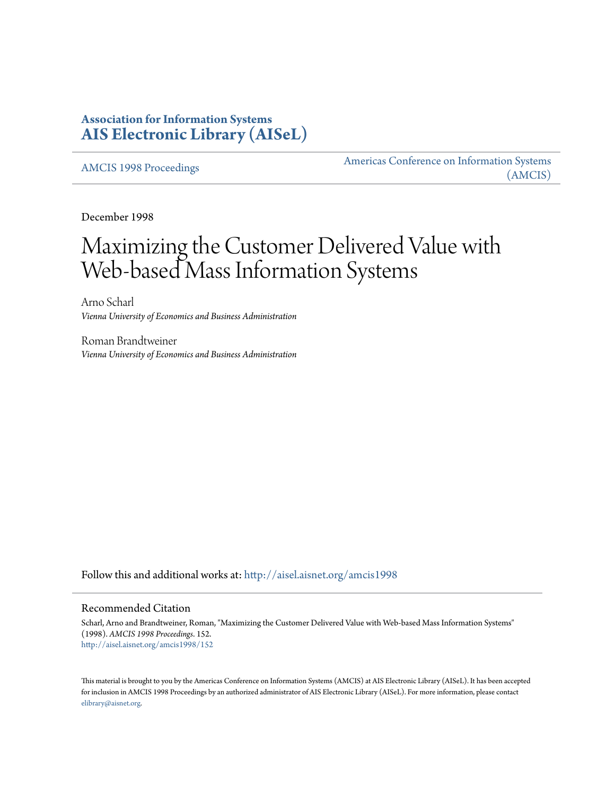## **Association for Information Systems [AIS Electronic Library \(AISeL\)](http://aisel.aisnet.org?utm_source=aisel.aisnet.org%2Famcis1998%2F152&utm_medium=PDF&utm_campaign=PDFCoverPages)**

[AMCIS 1998 Proceedings](http://aisel.aisnet.org/amcis1998?utm_source=aisel.aisnet.org%2Famcis1998%2F152&utm_medium=PDF&utm_campaign=PDFCoverPages)

[Americas Conference on Information Systems](http://aisel.aisnet.org/amcis?utm_source=aisel.aisnet.org%2Famcis1998%2F152&utm_medium=PDF&utm_campaign=PDFCoverPages) [\(AMCIS\)](http://aisel.aisnet.org/amcis?utm_source=aisel.aisnet.org%2Famcis1998%2F152&utm_medium=PDF&utm_campaign=PDFCoverPages)

December 1998

# Maximizing the Customer Delivered Value with Web-based Mass Information Systems

Arno Scharl *Vienna University of Economics and Business Administration*

Roman Brandtweiner *Vienna University of Economics and Business Administration*

Follow this and additional works at: [http://aisel.aisnet.org/amcis1998](http://aisel.aisnet.org/amcis1998?utm_source=aisel.aisnet.org%2Famcis1998%2F152&utm_medium=PDF&utm_campaign=PDFCoverPages)

#### Recommended Citation

Scharl, Arno and Brandtweiner, Roman, "Maximizing the Customer Delivered Value with Web-based Mass Information Systems" (1998). *AMCIS 1998 Proceedings*. 152. [http://aisel.aisnet.org/amcis1998/152](http://aisel.aisnet.org/amcis1998/152?utm_source=aisel.aisnet.org%2Famcis1998%2F152&utm_medium=PDF&utm_campaign=PDFCoverPages)

This material is brought to you by the Americas Conference on Information Systems (AMCIS) at AIS Electronic Library (AISeL). It has been accepted for inclusion in AMCIS 1998 Proceedings by an authorized administrator of AIS Electronic Library (AISeL). For more information, please contact [elibrary@aisnet.org.](mailto:elibrary@aisnet.org%3E)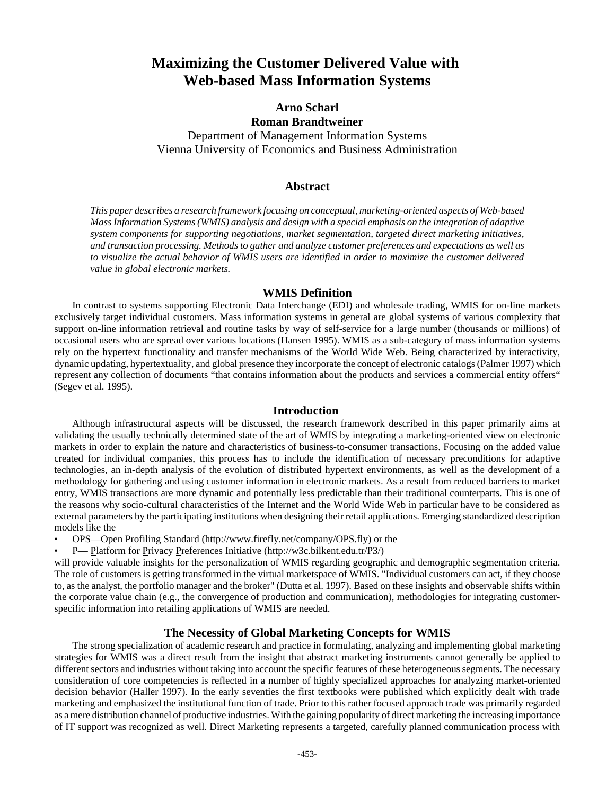## **Maximizing the Customer Delivered Value with Web-based Mass Information Systems**

### **Arno Scharl Roman Brandtweiner**

Department of Management Information Systems Vienna University of Economics and Business Administration

#### **Abstract**

*This paper describes a research framework focusing on conceptual, marketing-oriented aspects of Web-based Mass Information Systems (WMIS) analysis and design with a special emphasis on the integration of adaptive system components for supporting negotiations, market segmentation, targeted direct marketing initiatives, and transaction processing. Methods to gather and analyze customer preferences and expectations as well as to visualize the actual behavior of WMIS users are identified in order to maximize the customer delivered value in global electronic markets.* 

#### **WMIS Definition**

In contrast to systems supporting Electronic Data Interchange (EDI) and wholesale trading, WMIS for on-line markets exclusively target individual customers. Mass information systems in general are global systems of various complexity that support on-line information retrieval and routine tasks by way of self-service for a large number (thousands or millions) of occasional users who are spread over various locations (Hansen 1995). WMIS as a sub-category of mass information systems rely on the hypertext functionality and transfer mechanisms of the World Wide Web. Being characterized by interactivity, dynamic updating, hypertextuality, and global presence they incorporate the concept of electronic catalogs (Palmer 1997) which represent any collection of documents "that contains information about the products and services a commercial entity offers" (Segev et al. 1995).

#### **Introduction**

Although infrastructural aspects will be discussed, the research framework described in this paper primarily aims at validating the usually technically determined state of the art of WMIS by integrating a marketing-oriented view on electronic markets in order to explain the nature and characteristics of business-to-consumer transactions. Focusing on the added value created for individual companies, this process has to include the identification of necessary preconditions for adaptive technologies, an in-depth analysis of the evolution of distributed hypertext environments, as well as the development of a methodology for gathering and using customer information in electronic markets. As a result from reduced barriers to market entry, WMIS transactions are more dynamic and potentially less predictable than their traditional counterparts. This is one of the reasons why socio-cultural characteristics of the Internet and the World Wide Web in particular have to be considered as external parameters by the participating institutions when designing their retail applications. Emerging standardized description models like the

- OPS—Open Profiling Standard (http://www.firefly.net/company/OPS.fly) or the
- P— Platform for Privacy Preferences Initiative (http://w3c.bilkent.edu.tr/P3/)

will provide valuable insights for the personalization of WMIS regarding geographic and demographic segmentation criteria. The role of customers is getting transformed in the virtual marketspace of WMIS. "Individual customers can act, if they choose to, as the analyst, the portfolio manager and the broker" (Dutta et al. 1997). Based on these insights and observable shifts within the corporate value chain (e.g., the convergence of production and communication), methodologies for integrating customerspecific information into retailing applications of WMIS are needed.

#### **The Necessity of Global Marketing Concepts for WMIS**

The strong specialization of academic research and practice in formulating, analyzing and implementing global marketing strategies for WMIS was a direct result from the insight that abstract marketing instruments cannot generally be applied to different sectors and industries without taking into account the specific features of these heterogeneous segments. The necessary consideration of core competencies is reflected in a number of highly specialized approaches for analyzing market-oriented decision behavior (Haller 1997). In the early seventies the first textbooks were published which explicitly dealt with trade marketing and emphasized the institutional function of trade. Prior to this rather focused approach trade was primarily regarded as a mere distribution channel of productive industries. With the gaining popularity of direct marketing the increasing importance of IT support was recognized as well. Direct Marketing represents a targeted, carefully planned communication process with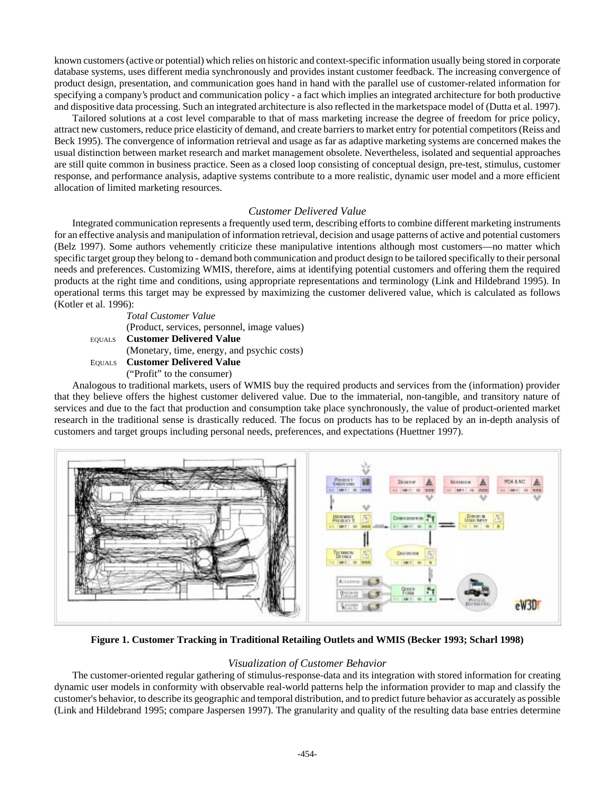known customers (active or potential) which relies on historic and context-specific information usually being stored in corporate database systems, uses different media synchronously and provides instant customer feedback. The increasing convergence of product design, presentation, and communication goes hand in hand with the parallel use of customer-related information for specifying a company's product and communication policy - a fact which implies an integrated architecture for both productive and dispositive data processing. Such an integrated architecture is also reflected in the marketspace model of (Dutta et al. 1997).

Tailored solutions at a cost level comparable to that of mass marketing increase the degree of freedom for price policy, attract new customers, reduce price elasticity of demand, and create barriers to market entry for potential competitors (Reiss and Beck 1995). The convergence of information retrieval and usage as far as adaptive marketing systems are concerned makes the usual distinction between market research and market management obsolete. Nevertheless, isolated and sequential approaches are still quite common in business practice. Seen as a closed loop consisting of conceptual design, pre-test, stimulus, customer response, and performance analysis, adaptive systems contribute to a more realistic, dynamic user model and a more efficient allocation of limited marketing resources.

#### *Customer Delivered Value*

Integrated communication represents a frequently used term, describing efforts to combine different marketing instruments for an effective analysis and manipulation of information retrieval, decision and usage patterns of active and potential customers (Belz 1997). Some authors vehemently criticize these manipulative intentions although most customers—no matter which specific target group they belong to - demand both communication and product design to be tailored specifically to their personal needs and preferences. Customizing WMIS, therefore, aims at identifying potential customers and offering them the required products at the right time and conditions, using appropriate representations and terminology (Link and Hildebrand 1995). In operational terms this target may be expressed by maximizing the customer delivered value, which is calculated as follows (Kotler et al. 1996):

*Total Customer Value* (Product, services, personnel, image values) EQUALS **Customer Delivered Value** (Monetary, time, energy, and psychic costs) EQUALS **Customer Delivered Value** ("Profit" to the consumer)

Analogous to traditional markets, users of WMIS buy the required products and services from the (information) provider that they believe offers the highest customer delivered value. Due to the immaterial, non-tangible, and transitory nature of services and due to the fact that production and consumption take place synchronously, the value of product-oriented market research in the traditional sense is drastically reduced. The focus on products has to be replaced by an in-depth analysis of customers and target groups including personal needs, preferences, and expectations (Huettner 1997).



**Figure 1. Customer Tracking in Traditional Retailing Outlets and WMIS (Becker 1993; Scharl 1998)**

#### *Visualization of Customer Behavior*

The customer-oriented regular gathering of stimulus-response-data and its integration with stored information for creating dynamic user models in conformity with observable real-world patterns help the information provider to map and classify the customer's behavior, to describe its geographic and temporal distribution, and to predict future behavior as accurately as possible (Link and Hildebrand 1995; compare Jaspersen 1997). The granularity and quality of the resulting data base entries determine